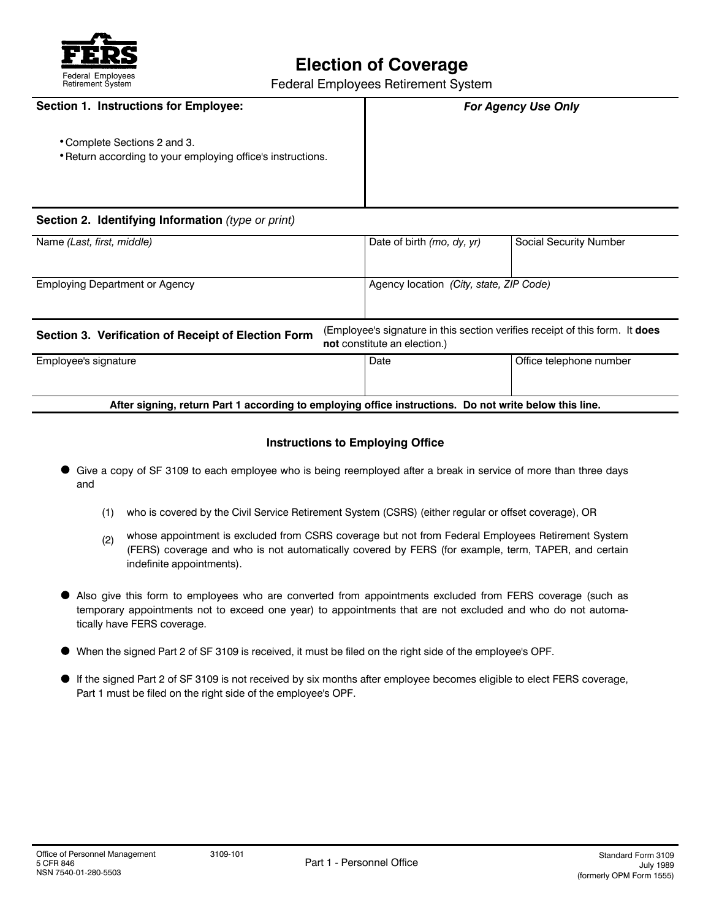

# **Election of Coverage**<br> **Election of Coverage**<br> **Election of Coverage**<br> **Election of Coverage**

Federal Employees Retirement System

| <b>Section 1. Instructions for Employee:</b>                                                |                            | <b>For Agency Use Only</b>    |  |
|---------------------------------------------------------------------------------------------|----------------------------|-------------------------------|--|
| • Complete Sections 2 and 3.<br>• Return according to your employing office's instructions. |                            |                               |  |
| Section 2. Identifying Information (type or print)                                          |                            |                               |  |
| Name (Last, first, middle)                                                                  | Date of birth (mo, dy, yr) | <b>Social Security Number</b> |  |

| Section 3. Verification of Receipt of Election Form | <b>not</b> constitute an election.) | (Employee's signature in this section verifies receipt of this form. It does |
|-----------------------------------------------------|-------------------------------------|------------------------------------------------------------------------------|
|                                                     |                                     |                                                                              |

Employing Department or Agency **Agency Agency 1 Agency location** *(City, state, ZIP Code)* 

| Employee's signature | Date | Office telephone number |
|----------------------|------|-------------------------|
|                      |      |                         |
|                      |      |                         |

## **After signing, return Part 1 according to employing office instructions. Do not write below this line.**

## **Instructions to Employing Office**

- Give a copy of SF 3109 to each employee who is being reemployed after a break in service of more than three days and
	- (1) who is covered by the Civil Service Retirement System (CSRS) (either regular or offset coverage), OR
	- (2) whose appointment is excluded from CSRS coverage but not from Federal Employees Retirement System (FERS) coverage and who is not automatically covered by FERS (for example, term, TAPER, and certain indefinite appointments).
- Also give this form to employees who are converted from appointments excluded from FERS coverage (such as . temporary appointments not to exceed one year) to appointments that are not excluded and who do not automatically have FERS coverage.
- When the signed Part 2 of SF 3109 is received, it must be filed on the right side of the employee's OPF.
- If the signed Part 2 of SF 3109 is not received by six months after employee becomes eligible to elect FERS coverage, Part 1 must be filed on the right side of the employee's OPF.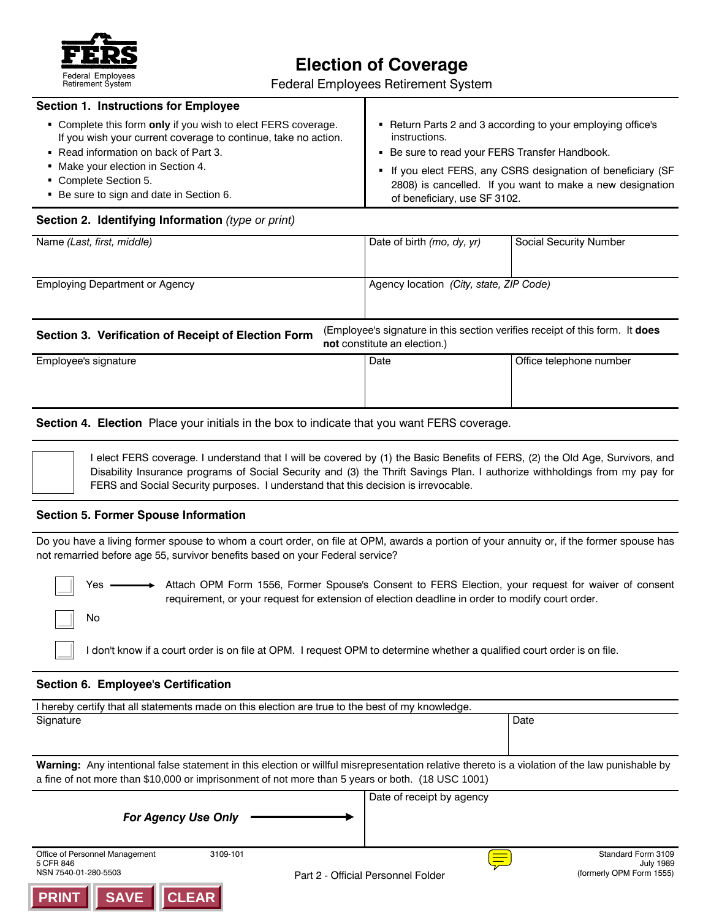

# **Election of Coverage**<br> **Election of Coverage**<br> **Election of Coverage**<br> **Election of Coverage**

Federal Employees Retirement System

| <b>Section 1. Instructions for Employee</b>                    |                                                              |
|----------------------------------------------------------------|--------------------------------------------------------------|
| • Complete this form only if you wish to elect FERS coverage.  | Return Parts 2 and 3 according to your employing office's    |
| If you wish your current coverage to continue, take no action. | instructions.                                                |
| Read information on back of Part 3.                            | • Be sure to read your FERS Transfer Handbook.               |
| • Make your election in Section 4.                             | • If you elect FERS, any CSRS designation of beneficiary (SF |
| Complete Section 5.                                            | 2808) is cancelled. If you want to make a new designation    |
| Be sure to sign and date in Section 6.                         | of beneficiary, use SF 3102.                                 |

# **Section 2. Identifying Information** *(type or print)*

| Name (Last, first, middle)                          |                                                                                                                     | Date of birth (mo, dy, yr)              | <b>Social Security Number</b> |
|-----------------------------------------------------|---------------------------------------------------------------------------------------------------------------------|-----------------------------------------|-------------------------------|
| <b>Employing Department or Agency</b>               |                                                                                                                     | Agency location (City, state, ZIP Code) |                               |
| Section 3. Verification of Receipt of Election Form | (Employee's signature in this section verifies receipt of this form. It <b>does</b><br>not constitute an election.) |                                         |                               |
| Employee's signature                                |                                                                                                                     | Date                                    | Office telephone number       |

# **Section 4. Election** Place your initials in the box to indicate that you want FERS coverage.

I elect FERS coverage. I understand that I will be covered by (1) the Basic Benefits of FERS, (2) the Old Age, Survivors, and Disability Insurance programs of Social Security and (3) the Thrift Savings Plan. I authorize withholdings from my pay for FERS and Social Security purposes. I understand that this decision is irrevocable.

# **Section 5. Former Spouse Information**

Do you have a living former spouse to whom a court order, on file at OPM, awards a portion of your annuity or, if the former spouse has not remarried before age 55, survivor benefits based on your Federal service?

No

Yes —— > Attach OPM Form 1556, Former Spouse's Consent to FERS Election, your request for waiver of consent requirement, or your request for extension of election deadline in order to modify court order.

I don't know if a court order is on file at OPM. I request OPM to determine whether a qualified court order is on file.

## **Section 6. Employee's Certification**

| I hereby certify that all statements made on this election are true to the best of my knowledge.                                                                                                                                                    |                           |  |
|-----------------------------------------------------------------------------------------------------------------------------------------------------------------------------------------------------------------------------------------------------|---------------------------|--|
| Signature                                                                                                                                                                                                                                           | Date                      |  |
|                                                                                                                                                                                                                                                     |                           |  |
| Warning: Any intentional false statement in this election or willful misrepresentation relative thereto is a violation of the law punishable by<br>a fine of not more than \$10,000 or imprisonment of not more than 5 years or both. (18 USC 1001) |                           |  |
|                                                                                                                                                                                                                                                     | Date of receipt by agency |  |
| <b>For Agency Use Only</b>                                                                                                                                                                                                                          |                           |  |
| Office of Personnel Management<br>3109-101                                                                                                                                                                                                          | Standard Form 3109        |  |

5 CFR 846 July 1989 کے اس کا مطابق کی اس کا انتخاب کردہ کر اس کا انتخاب کرنے کے انتخاب کرنے کے انتخاب کرنے کے